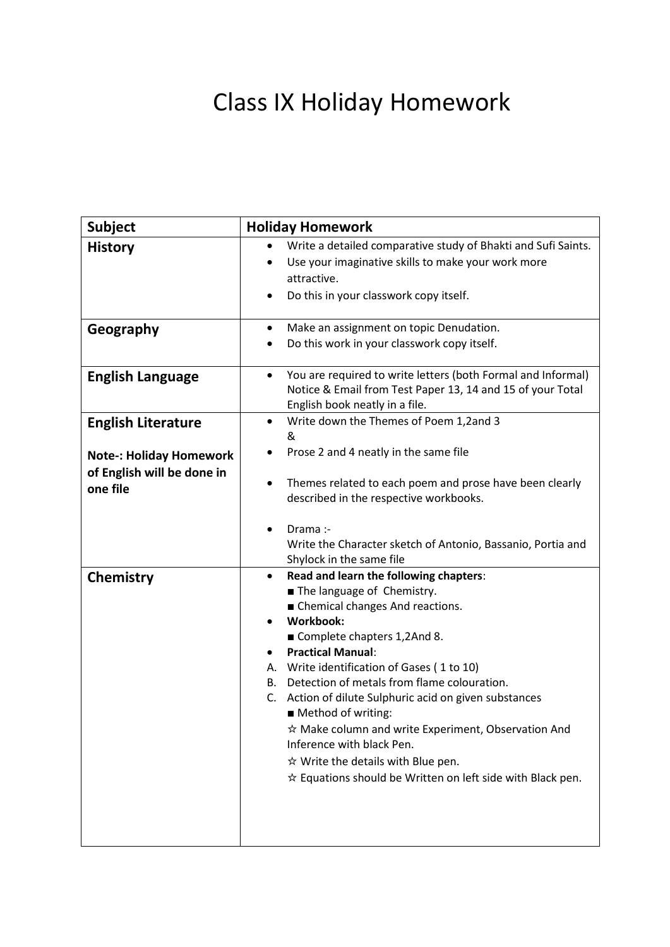## Class IX Holiday Homework

| <b>Subject</b>                                                                                        | <b>Holiday Homework</b>                                                                                                                                                                                                                                                                                                                                                                                                                                                                                                                                                                                                |
|-------------------------------------------------------------------------------------------------------|------------------------------------------------------------------------------------------------------------------------------------------------------------------------------------------------------------------------------------------------------------------------------------------------------------------------------------------------------------------------------------------------------------------------------------------------------------------------------------------------------------------------------------------------------------------------------------------------------------------------|
| <b>History</b>                                                                                        | Write a detailed comparative study of Bhakti and Sufi Saints.<br>Use your imaginative skills to make your work more<br>attractive.<br>Do this in your classwork copy itself.                                                                                                                                                                                                                                                                                                                                                                                                                                           |
| Geography                                                                                             | Make an assignment on topic Denudation.<br>$\bullet$<br>Do this work in your classwork copy itself.                                                                                                                                                                                                                                                                                                                                                                                                                                                                                                                    |
| <b>English Language</b>                                                                               | You are required to write letters (both Formal and Informal)<br>$\bullet$<br>Notice & Email from Test Paper 13, 14 and 15 of your Total<br>English book neatly in a file.                                                                                                                                                                                                                                                                                                                                                                                                                                              |
| <b>English Literature</b><br><b>Note-: Holiday Homework</b><br>of English will be done in<br>one file | Write down the Themes of Poem 1,2and 3<br>$\bullet$<br>&<br>Prose 2 and 4 neatly in the same file<br>Themes related to each poem and prose have been clearly<br>$\bullet$<br>described in the respective workbooks.                                                                                                                                                                                                                                                                                                                                                                                                    |
|                                                                                                       | Drama:-<br>Write the Character sketch of Antonio, Bassanio, Portia and<br>Shylock in the same file                                                                                                                                                                                                                                                                                                                                                                                                                                                                                                                     |
| Chemistry                                                                                             | Read and learn the following chapters:<br>$\bullet$<br>The language of Chemistry.<br>Chemical changes And reactions.<br><b>Workbook:</b><br>Complete chapters 1,2And 8.<br><b>Practical Manual:</b><br>$\bullet$<br>A. Write identification of Gases (1 to 10)<br>Detection of metals from flame colouration.<br>В.<br>Action of dilute Sulphuric acid on given substances<br>C.<br>Method of writing:<br>$\hat{x}$ Make column and write Experiment, Observation And<br>Inference with black Pen.<br>$\hat{x}$ Write the details with Blue pen.<br>$\hat{x}$ Equations should be Written on left side with Black pen. |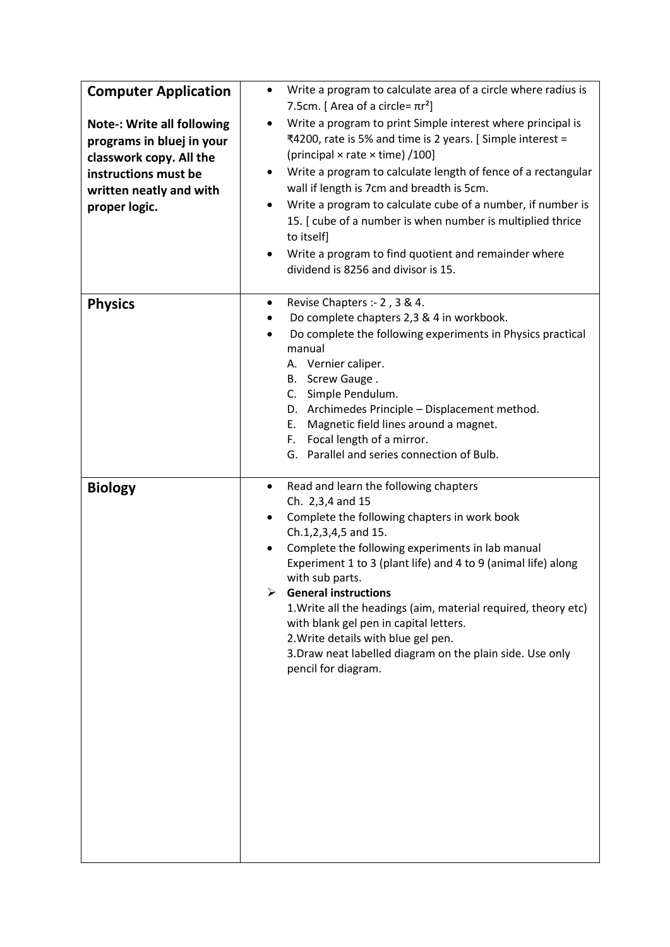| <b>Computer Application</b><br><b>Note-: Write all following</b><br>programs in bluej in your<br>classwork copy. All the<br>instructions must be<br>written neatly and with<br>proper logic. | Write a program to calculate area of a circle where radius is<br>$\bullet$<br>7.5cm. [ Area of a circle= $\pi r^2$ ]<br>Write a program to print Simple interest where principal is<br>٠<br>₹4200, rate is 5% and time is 2 years. [Simple interest =<br>(principal × rate × time) /100]<br>Write a program to calculate length of fence of a rectangular<br>٠<br>wall if length is 7cm and breadth is 5cm.<br>Write a program to calculate cube of a number, if number is<br>٠<br>15. [ cube of a number is when number is multiplied thrice<br>to itself]<br>Write a program to find quotient and remainder where<br>dividend is 8256 and divisor is 15. |
|----------------------------------------------------------------------------------------------------------------------------------------------------------------------------------------------|------------------------------------------------------------------------------------------------------------------------------------------------------------------------------------------------------------------------------------------------------------------------------------------------------------------------------------------------------------------------------------------------------------------------------------------------------------------------------------------------------------------------------------------------------------------------------------------------------------------------------------------------------------|
| <b>Physics</b>                                                                                                                                                                               | Revise Chapters :- 2, 3 & 4.<br>٠<br>Do complete chapters 2,3 & 4 in workbook.<br>Do complete the following experiments in Physics practical<br>$\bullet$<br>manual<br>A. Vernier caliper.<br>Screw Gauge.<br>В.<br>C. Simple Pendulum.<br>D. Archimedes Principle - Displacement method.<br>Magnetic field lines around a magnet.<br>Е.<br>Focal length of a mirror.<br>F.<br>G. Parallel and series connection of Bulb.                                                                                                                                                                                                                                  |
| <b>Biology</b>                                                                                                                                                                               | Read and learn the following chapters<br>٠<br>Ch. 2,3,4 and 15<br>Complete the following chapters in work book<br>$\bullet$<br>Ch.1,2,3,4,5 and 15.<br>Complete the following experiments in lab manual<br>$\bullet$<br>Experiment 1 to 3 (plant life) and 4 to 9 (animal life) along<br>with sub parts.<br><b>General instructions</b><br>1. Write all the headings (aim, material required, theory etc)<br>with blank gel pen in capital letters.<br>2. Write details with blue gel pen.<br>3. Draw neat labelled diagram on the plain side. Use only<br>pencil for diagram.                                                                             |